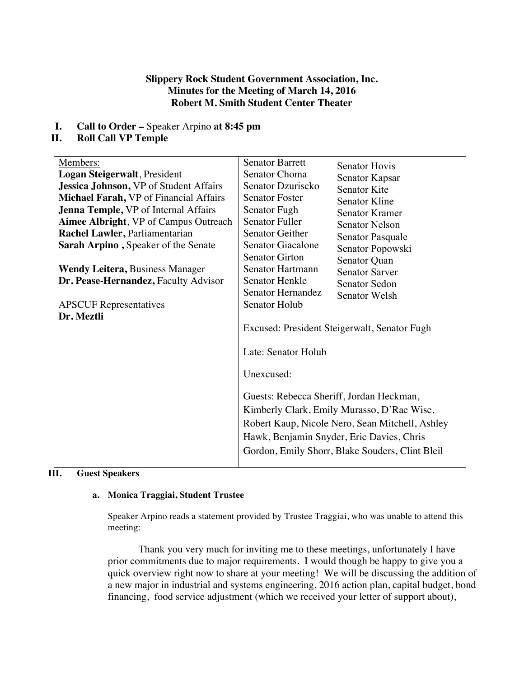## **Slippery Rock Student Government Association, Inc. Minutes for the Meeting of March 14, 2016 Robert M. Smith Student Center Theater**

**I. Call to Order –** Speaker Arpino **at 8:45 pm**

## **II. Roll Call VP Temple**

| Members:                                      | <b>Senator Barrett</b>                          |                       |
|-----------------------------------------------|-------------------------------------------------|-----------------------|
| Logan Steigerwalt, President                  | Senator Choma                                   | <b>Senator Hovis</b>  |
| <b>Jessica Johnson, VP of Student Affairs</b> | Senator Dzuriscko                               | Senator Kapsar        |
| Michael Farah, VP of Financial Affairs        | <b>Senator Foster</b>                           | <b>Senator Kite</b>   |
|                                               |                                                 | Senator Kline         |
| <b>Jenna Temple, VP</b> of Internal Affairs   | Senator Fugh                                    | <b>Senator Kramer</b> |
| Aimee Albright, VP of Campus Outreach         | <b>Senator Fuller</b>                           | <b>Senator Nelson</b> |
| Rachel Lawler, Parliamentarian                | Senator Geither                                 | Senator Pasquale      |
| Sarah Arpino, Speaker of the Senate           | Senator Giacalone                               | Senator Popowski      |
|                                               | <b>Senator Girton</b>                           | Senator Quan          |
| <b>Wendy Leitera, Business Manager</b>        | Senator Hartmann                                | <b>Senator Sarver</b> |
| Dr. Pease-Hernandez, Faculty Advisor          | Senator Henkle                                  | <b>Senator Sedon</b>  |
|                                               | Senator Hernandez                               | Senator Welsh         |
| <b>APSCUF</b> Representatives                 | Senator Holub                                   |                       |
| Dr. Meztli                                    |                                                 |                       |
|                                               | Excused: President Steigerwalt, Senator Fugh    |                       |
|                                               |                                                 |                       |
|                                               | Late: Senator Holub                             |                       |
|                                               |                                                 |                       |
|                                               | Unexcused:                                      |                       |
|                                               |                                                 |                       |
|                                               | Guests: Rebecca Sheriff, Jordan Heckman,        |                       |
|                                               | Kimberly Clark, Emily Murasso, D'Rae Wise,      |                       |
|                                               |                                                 |                       |
|                                               | Robert Kaup, Nicole Nero, Sean Mitchell, Ashley |                       |
|                                               | Hawk, Benjamin Snyder, Eric Davies, Chris       |                       |
|                                               | Gordon, Emily Shorr, Blake Souders, Clint Bleil |                       |
|                                               |                                                 |                       |

# **III. Guest Speakers**

#### **a. Monica Traggiai, Student Trustee**

Speaker Arpino reads a statement provided by Trustee Traggiai, who was unable to attend this meeting:

Thank you very much for inviting me to these meetings, unfortunately I have prior commitments due to major requirements. I would though be happy to give you a quick overview right now to share at your meeting! We will be discussing the addition of a new major in industrial and systems engineering, 2016 action plan, capital budget, bond financing, food service adjustment (which we received your letter of support about),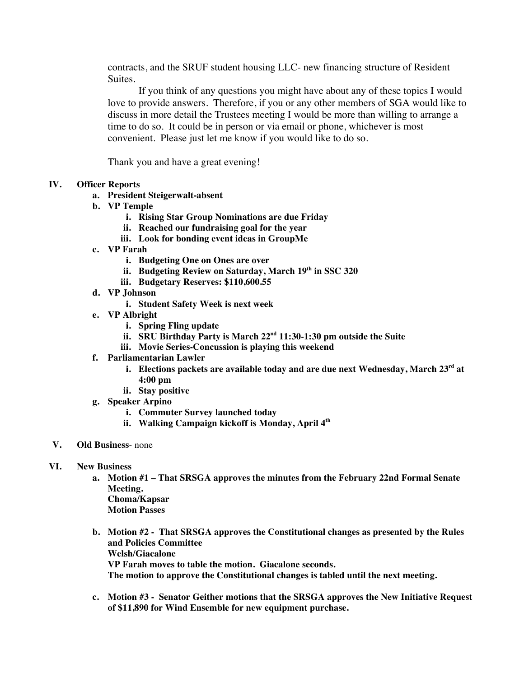contracts, and the SRUF student housing LLC- new financing structure of Resident Suites.

If you think of any questions you might have about any of these topics I would love to provide answers. Therefore, if you or any other members of SGA would like to discuss in more detail the Trustees meeting I would be more than willing to arrange a time to do so. It could be in person or via email or phone, whichever is most convenient. Please just let me know if you would like to do so.

Thank you and have a great evening!

### **IV. Officer Reports**

- **a. President Steigerwalt-absent**
- **b. VP Temple**
	- **i. Rising Star Group Nominations are due Friday**
	- **ii. Reached our fundraising goal for the year**
	- **iii. Look for bonding event ideas in GroupMe**
- **c. VP Farah**
	- **i. Budgeting One on Ones are over**
	- **ii. Budgeting Review on Saturday, March 19th in SSC 320**
	- **iii. Budgetary Reserves: \$110,600.55**
- **d. VP Johnson**
	- **i. Student Safety Week is next week**
- **e. VP Albright**
	- **i. Spring Fling update**
	- **ii. SRU Birthday Party is March 22nd 11:30-1:30 pm outside the Suite**
	- **iii. Movie Series-Concussion is playing this weekend**
- **f. Parliamentarian Lawler**
	- **i. Elections packets are available today and are due next Wednesday, March 23rd at 4:00 pm**
	- **ii. Stay positive**
- **g. Speaker Arpino**
	- **i. Commuter Survey launched today**
	- **ii. Walking Campaign kickoff is Monday, April 4th**
- **V. Old Business** none
- **VI. New Business**
	- **a. Motion #1 – That SRSGA approves the minutes from the February 22nd Formal Senate Meeting. Choma/Kapsar Motion Passes**
	- **b. Motion #2 - That SRSGA approves the Constitutional changes as presented by the Rules and Policies Committee Welsh/Giacalone VP Farah moves to table the motion. Giacalone seconds. The motion to approve the Constitutional changes is tabled until the next meeting.**
	- **c. Motion #3 - Senator Geither motions that the SRSGA approves the New Initiative Request of \$11,890 for Wind Ensemble for new equipment purchase.**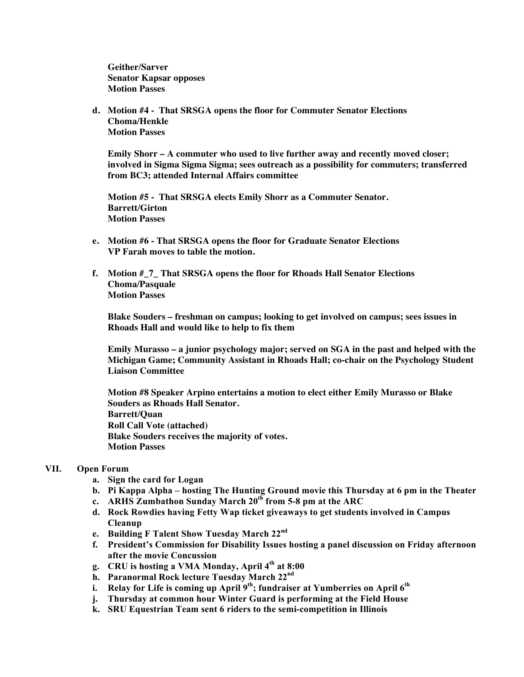**Geither/Sarver Senator Kapsar opposes Motion Passes**

**d. Motion #4 - That SRSGA opens the floor for Commuter Senator Elections Choma/Henkle Motion Passes**

**Emily Shorr – A commuter who used to live further away and recently moved closer; involved in Sigma Sigma Sigma; sees outreach as a possibility for commuters; transferred from BC3; attended Internal Affairs committee**

**Motion #5 - That SRSGA elects Emily Shorr as a Commuter Senator. Barrett/Girton Motion Passes** 

- **e. Motion #6 - That SRSGA opens the floor for Graduate Senator Elections VP Farah moves to table the motion.**
- **f. Motion #\_7\_ That SRSGA opens the floor for Rhoads Hall Senator Elections Choma/Pasquale Motion Passes**

**Blake Souders – freshman on campus; looking to get involved on campus; sees issues in Rhoads Hall and would like to help to fix them**

**Emily Murasso – a junior psychology major; served on SGA in the past and helped with the Michigan Game; Community Assistant in Rhoads Hall; co-chair on the Psychology Student Liaison Committee**

**Motion #8 Speaker Arpino entertains a motion to elect either Emily Murasso or Blake Souders as Rhoads Hall Senator. Barrett/Quan Roll Call Vote (attached) Blake Souders receives the majority of votes. Motion Passes**

#### **VII. Open Forum**

- **a. Sign the card for Logan**
- **b. Pi Kappa Alpha – hosting The Hunting Ground movie this Thursday at 6 pm in the Theater**
- **c. ARHS Zumbathon Sunday March 20th from 5-8 pm at the ARC**
- **d. Rock Rowdies having Fetty Wap ticket giveaways to get students involved in Campus Cleanup**
- **e. Building F Talent Show Tuesday March 22nd**
- **f. President's Commission for Disability Issues hosting a panel discussion on Friday afternoon after the movie Concussion**
- **g. CRU is hosting a VMA Monday, April 4th at 8:00**
- **h. Paranormal Rock lecture Tuesday March 22nd**
- **i. Relay for Life is coming up April 9<sup>th</sup>; fundraiser at Yumberries on April 6<sup>th</sup>**
- **j. Thursday at common hour Winter Guard is performing at the Field House**
- **k. SRU Equestrian Team sent 6 riders to the semi-competition in Illinois**